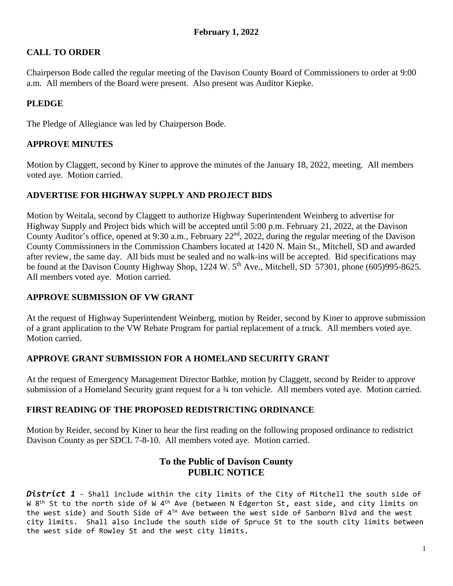# **CALL TO ORDER**

Chairperson Bode called the regular meeting of the Davison County Board of Commissioners to order at 9:00 a.m. All members of the Board were present. Also present was Auditor Kiepke.

# **PLEDGE**

The Pledge of Allegiance was led by Chairperson Bode.

# **APPROVE MINUTES**

Motion by Claggett, second by Kiner to approve the minutes of the January 18, 2022, meeting. All members voted aye. Motion carried.

### **ADVERTISE FOR HIGHWAY SUPPLY AND PROJECT BIDS**

Motion by Weitala, second by Claggett to authorize Highway Superintendent Weinberg to advertise for Highway Supply and Project bids which will be accepted until 5:00 p.m. February 21, 2022, at the Davison County Auditor's office, opened at 9:30 a.m., February 22<sup>nd</sup>, 2022, during the regular meeting of the Davison County Commissioners in the Commission Chambers located at 1420 N. Main St., Mitchell, SD and awarded after review, the same day. All bids must be sealed and no walk-ins will be accepted. Bid specifications may be found at the Davison County Highway Shop, 1224 W. 5<sup>th</sup> Ave., Mitchell, SD 57301, phone (605)995-8625. All members voted aye. Motion carried.

### **APPROVE SUBMISSION OF VW GRANT**

At the request of Highway Superintendent Weinberg, motion by Reider, second by Kiner to approve submission of a grant application to the VW Rebate Program for partial replacement of a truck. All members voted aye. Motion carried.

#### **APPROVE GRANT SUBMISSION FOR A HOMELAND SECURITY GRANT**

At the request of Emergency Management Director Bathke, motion by Claggett, second by Reider to approve submission of a Homeland Security grant request for a  $\frac{3}{4}$  ton vehicle. All members voted aye. Motion carried.

# **FIRST READING OF THE PROPOSED REDISTRICTING ORDINANCE**

Motion by Reider, second by Kiner to hear the first reading on the following proposed ordinance to redistrict Davison County as per SDCL 7-8-10. All members voted aye. Motion carried.

# **To the Public of Davison County PUBLIC NOTICE**

*District 1* - Shall include within the city limits of the City of Mitchell the south side of W 8<sup>th</sup> St to the north side of W 4<sup>th</sup> Ave (between N Edgerton St, east side, and city limits on the west side) and South Side of 4™ Ave between the west side of Sanborn Blvd and the west city limits. Shall also include the south side of Spruce St to the south city limits between the west side of Rowley St and the west city limits.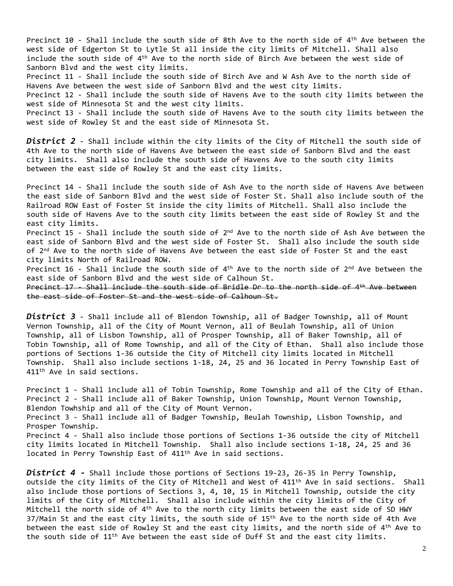Precinct 10 - Shall include the south side of 8th Ave to the north side of 4<sup>th</sup> Ave between the west side of Edgerton St to Lytle St all inside the city limits of Mitchell. Shall also include the south side of 4th Ave to the north side of Birch Ave between the west side of Sanborn Blvd and the west city limits. Precinct 11 - Shall include the south side of Birch Ave and W Ash Ave to the north side of Havens Ave between the west side of Sanborn Blvd and the west city limits. Precinct 12 - Shall include the south side of Havens Ave to the south city limits between the west side of Minnesota St and the west city limits. Precinct 13 - Shall include the south side of Havens Ave to the south city limits between the west side of Rowley St and the east side of Minnesota St.

*District 2* - Shall include within the city limits of the City of Mitchell the south side of 4th Ave to the north side of Havens Ave between the east side of Sanborn Blvd and the east city limits. Shall also include the south side of Havens Ave to the south city limits between the east side of Rowley St and the east city limits.

Precinct 14 - Shall include the south side of Ash Ave to the north side of Havens Ave between the east side of Sanborn Blvd and the west side of Foster St. Shall also include south of the Railroad ROW East of Foster St inside the city limits of Mitchell. Shall also include the south side of Havens Ave to the south city limits between the east side of Rowley St and the east city limits.

Precinct 15 - Shall include the south side of 2<sup>nd</sup> Ave to the north side of Ash Ave between the east side of Sanborn Blvd and the west side of Foster St. Shall also include the south side of 2<sup>nd</sup> Ave to the north side of Havens Ave between the east side of Foster St and the east city limits North of Railroad ROW.

Precinct 16 - Shall include the south side of 4<sup>th</sup> Ave to the north side of 2<sup>nd</sup> Ave between the east side of Sanborn Blvd and the west side of Calhoun St.

Precinct 17 - Shall include the south side of Bridle Dr to the north side of 4<sup>th</sup> Ave between the east side of Foster St and the west side of Calhoun St.

*District 3* - Shall include all of Blendon Township, all of Badger Township, all of Mount Vernon Township, all of the City of Mount Vernon, all of Beulah Township, all of Union Township, all of Lisbon Township, all of Prosper Township, all of Baker Township, all of Tobin Township, all of Rome Township, and all of the City of Ethan. Shall also include those portions of Sections 1-36 outside the City of Mitchell city limits located in Mitchell Township. Shall also include sections 1-18, 24, 25 and 36 located in Perry Township East of 411th Ave in said sections.

Precinct 1 - Shall include all of Tobin Township, Rome Township and all of the City of Ethan. Precinct 2 - Shall include all of Baker Township, Union Township, Mount Vernon Township, Blendon Towhship and all of the City of Mount Vernon. Precinct 3 - Shall include all of Badger Township, Beulah Township, Lisbon Township, and Prosper Township. Precinct 4 - Shall also include those portions of Sections 1-36 outside the city of Mitchell city limits located in Mitchell Township. Shall also include sections 1-18, 24, 25 and 36 located in Perry Township East of 411th Ave in said sections.

*District 4 -* Shall include those portions of Sections 19-23, 26-35 in Perry Township, outside the city limits of the City of Mitchell and West of 411th Ave in said sections. Shall also include those portions of Sections 3, 4, 10, 15 in Mitchell Township, outside the city limits of the City of Mitchell. Shall also include within the city limits of the City of Mitchell the north side of 4 $^{\rm th}$  Ave to the north city limits between the east side of SD HWY 37/Main St and the east city limits, the south side of 15<sup>th</sup> Ave to the north side of 4th Ave between the east side of Rowley St and the east city limits, and the north side of 4<sup>th</sup> Ave to the south side of 11th Ave between the east side of Duff St and the east city limits.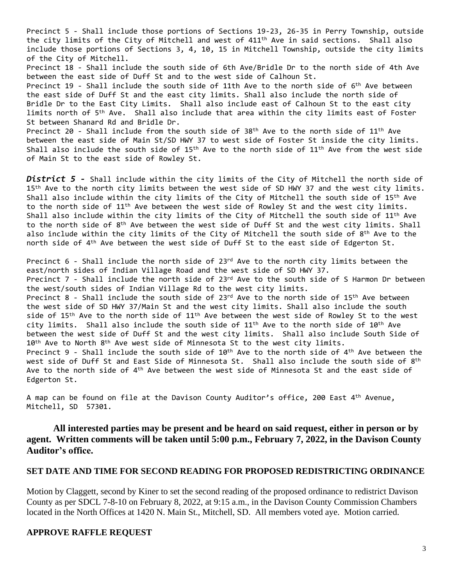Precinct 5 - Shall include those portions of Sections 19-23, 26-35 in Perry Township, outside the city limits of the City of Mitchell and west of 411th Ave in said sections. Shall also include those portions of Sections 3, 4, 10, 15 in Mitchell Township, outside the city limits of the City of Mitchell. Precinct 18 - Shall include the south side of 6th Ave/Bridle Dr to the north side of 4th Ave between the east side of Duff St and to the west side of Calhoun St. Precinct 19 - Shall include the south side of 11th Ave to the north side of 6<sup>th</sup> Ave between the east side of Duff St and the east city limits. Shall also include the north side of Bridle Dr to the East City Limits. Shall also include east of Calhoun St to the east city limits north of 5<sup>th</sup> Ave. Shall also include that area within the city limits east of Foster St between Shanard Rd and Bridle Dr. Precinct 20 - Shall include from the south side of 38 $^{\text{th}}$  Ave to the north side of 11 $^{\text{th}}$  Ave

between the east side of Main St/SD HWY 37 to west side of Foster St inside the city limits. Shall also include the south side of  $15<sup>th</sup>$  Ave to the north side of  $11<sup>th</sup>$  Ave from the west side of Main St to the east side of Rowley St.

*District 5 -* Shall include within the city limits of the City of Mitchell the north side of 15<sup>th</sup> Ave to the north city limits between the west side of SD HWY 37 and the west city limits. Shall also include within the city limits of the City of Mitchell the south side of 15th Ave to the north side of 11th Ave between the west side of Rowley St and the west city limits. Shall also include within the city limits of the City of Mitchell the south side of 11<sup>th</sup> Ave to the north side of 8<sup>th</sup> Ave between the west side of Duff St and the west city limits. Shall also include within the city limits of the City of Mitchell the south side of  $8^\text{th}$  Ave to the north side of 4 th Ave between the west side of Duff St to the east side of Edgerton St.

Precinct  $6$  - Shall include the north side of 23<sup>rd</sup> Ave to the north city limits between the east/north sides of Indian Village Road and the west side of SD HWY 37. Precinct  $7$  - Shall include the north side of  $23^{rd}$  Ave to the south side of S Harmon Dr between the west/south sides of Indian Village Rd to the west city limits. Precinct 8 - Shall include the south side of  $23^{rd}$  Ave to the north side of  $15^{th}$  Ave between the west side of SD HWY 37/Main St and the west city limits. Shall also include the south side of 15<sup>th</sup> Ave to the north side of 11<sup>th</sup> Ave between the west side of Rowley St to the west city limits. Shall also include the south side of 11<sup>th</sup> Ave to the north side of 10<sup>th</sup> Ave between the west side of Duff St and the west city limits. Shall also include South Side of  $10<sup>th</sup>$  Ave to North  $8<sup>th</sup>$  Ave west side of Minnesota St to the west city limits. Precinct 9 - Shall include the south side of  $10^{\text{th}}$  Ave to the north side of  $4^{\text{th}}$  Ave between the west side of Duff St and East Side of Minnesota St.  $\,$  Shall also include the south side of  $8^{\text{th}}$ Ave to the north side of 4<sup>th</sup> Ave between the west side of Minnesota St and the east side of Edgerton St.

A map can be found on file at the Davison County Auditor's office, 200 East 4<sup>th</sup> Avenue, Mitchell, SD 57301.

#### **All interested parties may be present and be heard on said request, either in person or by agent. Written comments will be taken until 5:00 p.m., February 7, 2022, in the Davison County Auditor's office.**

#### **SET DATE AND TIME FOR SECOND READING FOR PROPOSED REDISTRICTING ORDINANCE**

Motion by Claggett, second by Kiner to set the second reading of the proposed ordinance to redistrict Davison County as per SDCL 7-8-10 on February 8, 2022, at 9:15 a.m., in the Davison County Commission Chambers located in the North Offices at 1420 N. Main St., Mitchell, SD. All members voted aye. Motion carried.

#### **APPROVE RAFFLE REQUEST**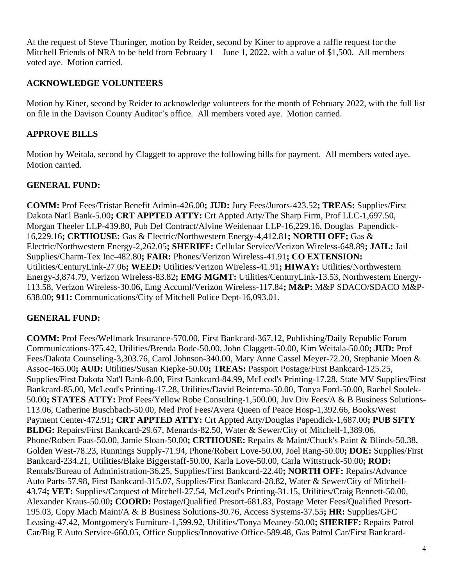At the request of Steve Thuringer, motion by Reider, second by Kiner to approve a raffle request for the Mitchell Friends of NRA to be held from February  $1 -$  June 1, 2022, with a value of \$1,500. All members voted aye. Motion carried.

# **ACKNOWLEDGE VOLUNTEERS**

Motion by Kiner, second by Reider to acknowledge volunteers for the month of February 2022, with the full list on file in the Davison County Auditor's office. All members voted aye. Motion carried.

# **APPROVE BILLS**

Motion by Weitala, second by Claggett to approve the following bills for payment. All members voted aye. Motion carried.

### **GENERAL FUND:**

**COMM:** Prof Fees/Tristar Benefit Admin-426.00**; JUD:** Jury Fees/Jurors-423.52**; TREAS:** Supplies/First Dakota Nat'l Bank-5.00**; CRT APPTED ATTY:** Crt Appted Atty/The Sharp Firm, Prof LLC-1,697.50, Morgan Theeler LLP-439.80, Pub Def Contract/Alvine Weidenaar LLP-16,229.16, Douglas Papendick-16,229.16**; CRTHOUSE:** Gas & Electric/Northwestern Energy-4,412.81**; NORTH OFF;** Gas & Electric/Northwestern Energy-2,262.05**; SHERIFF:** Cellular Service/Verizon Wireless-648.89**; JAIL:** Jail Supplies/Charm-Tex Inc-482.80**; FAIR:** Phones/Verizon Wireless-41.91**; CO EXTENSION:** Utilities/CenturyLink-27.06**; WEED:** Utilities/Verizon Wireless-41.91**; HIWAY:** Utilities/Northwestern Energy-3,874.79, Verizon Wireless-83.82**; EMG MGMT:** Utilities/CenturyLink-13.53, Northwestern Energy-113.58, Verizon Wireless-30.06, Emg Accuml/Verizon Wireless-117.84**; M&P:** M&P SDACO/SDACO M&P-638.00**; 911:** Communications/City of Mitchell Police Dept-16,093.01.

#### **GENERAL FUND:**

**COMM:** Prof Fees/Wellmark Insurance-570.00, First Bankcard-367.12, Publishing/Daily Republic Forum Communications-375.42, Utilities/Brenda Bode-50.00, John Claggett-50.00, Kim Weitala-50.00**; JUD:** Prof Fees/Dakota Counseling-3,303.76, Carol Johnson-340.00, Mary Anne Cassel Meyer-72.20, Stephanie Moen & Assoc-465.00**; AUD:** Utilities/Susan Kiepke-50.00**; TREAS:** Passport Postage/First Bankcard-125.25, Supplies/First Dakota Nat'l Bank-8.00, First Bankcard-84.99, McLeod's Printing-17.28, State MV Supplies/First Bankcard-85.00, McLeod's Printing-17.28, Utilities/David Beintema-50.00, Tonya Ford-50.00, Rachel Soulek-50.00**; STATES ATTY:** Prof Fees/Yellow Robe Consulting-1,500.00, Juv Div Fees/A & B Business Solutions-113.06, Catherine Buschbach-50.00, Med Prof Fees/Avera Queen of Peace Hosp-1,392.66, Books/West Payment Center-472.91**; CRT APPTED ATTY:** Crt Appted Atty/Douglas Papendick-1,687.00**; PUB SFTY BLDG:** Repairs/First Bankcard-29.67, Menards-82.50, Water & Sewer/City of Mitchell-1,389.06, Phone/Robert Faas-50.00, Jamie Sloan-50.00**; CRTHOUSE:** Repairs & Maint/Chuck's Paint & Blinds-50.38, Golden West-78.23, Runnings Supply-71.94, Phone/Robert Love-50.00, Joel Rang-50.00**; DOE:** Supplies/First Bankcard-234.21, Utilities/Blake Biggerstaff-50.00, Karla Love-50.00, Carla Wittstruck-50.00**; ROD:** Rentals/Bureau of Administration-36.25, Supplies/First Bankcard-22.40**; NORTH OFF:** Repairs/Advance Auto Parts-57.98, First Bankcard-315.07, Supplies/First Bankcard-28.82, Water & Sewer/City of Mitchell-43.74**; VET:** Supplies/Carquest of Mitchell-27.54, McLeod's Printing-31.15, Utilities/Craig Bennett-50.00, Alexander Kraus-50.00**; COORD:** Postage/Qualified Presort-681.83, Postage Meter Fees/Qualified Presort-195.03, Copy Mach Maint/A & B Business Solutions-30.76, Access Systems-37.55**; HR:** Supplies/GFC Leasing-47.42, Montgomery's Furniture-1,599.92, Utilities/Tonya Meaney-50.00**; SHERIFF:** Repairs Patrol Car/Big E Auto Service-660.05, Office Supplies/Innovative Office-589.48, Gas Patrol Car/First Bankcard-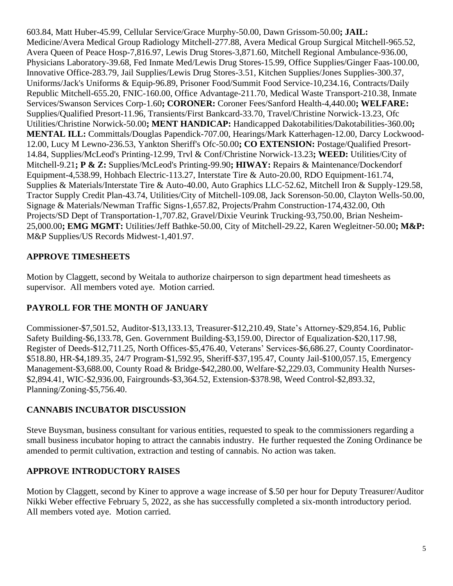603.84, Matt Huber-45.99, Cellular Service/Grace Murphy-50.00, Dawn Grissom-50.00**; JAIL:** Medicine/Avera Medical Group Radiology Mitchell-277.88, Avera Medical Group Surgical Mitchell-965.52, Avera Queen of Peace Hosp-7,816.97, Lewis Drug Stores-3,871.60, Mitchell Regional Ambulance-936.00, Physicians Laboratory-39.68, Fed Inmate Med/Lewis Drug Stores-15.99, Office Supplies/Ginger Faas-100.00, Innovative Office-283.79, Jail Supplies/Lewis Drug Stores-3.51, Kitchen Supplies/Jones Supplies-300.37, Uniforms/Jack's Uniforms & Equip-96.89, Prisoner Food/Summit Food Service-10,234.16, Contracts/Daily Republic Mitchell-655.20, FNIC-160.00, Office Advantage-211.70, Medical Waste Transport-210.38, Inmate Services/Swanson Services Corp-1.60**; CORONER:** Coroner Fees/Sanford Health-4,440.00**; WELFARE:** Supplies/Qualified Presort-11.96, Transients/First Bankcard-33.70, Travel/Christine Norwick-13.23, Ofc Utilities/Christine Norwick-50.00**; MENT HANDICAP:** Handicapped Dakotabilities/Dakotabilities-360.00**; MENTAL ILL:** Committals/Douglas Papendick-707.00, Hearings/Mark Katterhagen-12.00, Darcy Lockwood-12.00, Lucy M Lewno-236.53, Yankton Sheriff's Ofc-50.00**; CO EXTENSION:** Postage/Qualified Presort-14.84, Supplies/McLeod's Printing-12.99, Trvl & Conf/Christine Norwick-13.23**; WEED:** Utilities/City of Mitchell-9.21**; P & Z:** Supplies/McLeod's Printing-99.90**; HIWAY:** Repairs & Maintenance/Dockendorf Equipment-4,538.99, Hohbach Electric-113.27, Interstate Tire & Auto-20.00, RDO Equipment-161.74, Supplies & Materials/Interstate Tire & Auto-40.00, Auto Graphics LLC-52.62, Mitchell Iron & Supply-129.58, Tractor Supply Credit Plan-43.74, Utilities/City of Mitchell-109.08, Jack Sorenson-50.00, Clayton Wells-50.00, Signage & Materials/Newman Traffic Signs-1,657.82, Projects/Prahm Construction-174,432.00, Oth Projects/SD Dept of Transportation-1,707.82, Gravel/Dixie Veurink Trucking-93,750.00, Brian Nesheim-25,000.00**; EMG MGMT:** Utilities/Jeff Bathke-50.00, City of Mitchell-29.22, Karen Wegleitner-50.00**; M&P:** M&P Supplies/US Records Midwest-1,401.97.

# **APPROVE TIMESHEETS**

Motion by Claggett, second by Weitala to authorize chairperson to sign department head timesheets as supervisor. All members voted aye. Motion carried.

# **PAYROLL FOR THE MONTH OF JANUARY**

Commissioner-\$7,501.52, Auditor-\$13,133.13, Treasurer-\$12,210.49, State's Attorney-\$29,854.16, Public Safety Building-\$6,133.78, Gen. Government Building-\$3,159.00, Director of Equalization-\$20,117.98, Register of Deeds-\$12,711.25, North Offices-\$5,476.40, Veterans' Services-\$6,686.27, County Coordinator- \$518.80, HR-\$4,189.35, 24/7 Program-\$1,592.95, Sheriff-\$37,195.47, County Jail-\$100,057.15, Emergency Management-\$3,688.00, County Road & Bridge-\$42,280.00, Welfare-\$2,229.03, Community Health Nurses- \$2,894.41, WIC-\$2,936.00, Fairgrounds-\$3,364.52, Extension-\$378.98, Weed Control-\$2,893.32, Planning/Zoning-\$5,756.40.

#### **CANNABIS INCUBATOR DISCUSSION**

Steve Buysman, business consultant for various entities, requested to speak to the commissioners regarding a small business incubator hoping to attract the cannabis industry. He further requested the Zoning Ordinance be amended to permit cultivation, extraction and testing of cannabis. No action was taken.

#### **APPROVE INTRODUCTORY RAISES**

Motion by Claggett, second by Kiner to approve a wage increase of \$.50 per hour for Deputy Treasurer/Auditor Nikki Weber effective February 5, 2022, as she has successfully completed a six-month introductory period. All members voted aye. Motion carried.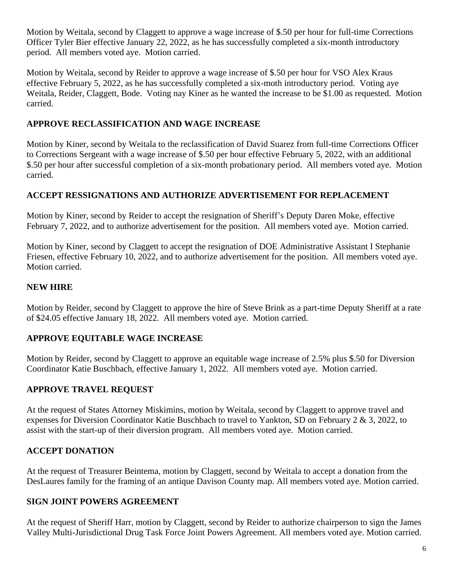Motion by Weitala, second by Claggett to approve a wage increase of \$.50 per hour for full-time Corrections Officer Tyler Bier effective January 22, 2022, as he has successfully completed a six-month introductory period. All members voted aye. Motion carried.

Motion by Weitala, second by Reider to approve a wage increase of \$.50 per hour for VSO Alex Kraus effective February 5, 2022, as he has successfully completed a six-moth introductory period. Voting aye Weitala, Reider, Claggett, Bode. Voting nay Kiner as he wanted the increase to be \$1.00 as requested. Motion carried.

# **APPROVE RECLASSIFICATION AND WAGE INCREASE**

Motion by Kiner, second by Weitala to the reclassification of David Suarez from full-time Corrections Officer to Corrections Sergeant with a wage increase of \$.50 per hour effective February 5, 2022, with an additional \$.50 per hour after successful completion of a six-month probationary period. All members voted aye. Motion carried.

### **ACCEPT RESSIGNATIONS AND AUTHORIZE ADVERTISEMENT FOR REPLACEMENT**

Motion by Kiner, second by Reider to accept the resignation of Sheriff's Deputy Daren Moke, effective February 7, 2022, and to authorize advertisement for the position. All members voted aye. Motion carried.

Motion by Kiner, second by Claggett to accept the resignation of DOE Administrative Assistant I Stephanie Friesen, effective February 10, 2022, and to authorize advertisement for the position. All members voted aye. Motion carried.

### **NEW HIRE**

Motion by Reider, second by Claggett to approve the hire of Steve Brink as a part-time Deputy Sheriff at a rate of \$24.05 effective January 18, 2022. All members voted aye. Motion carried.

# **APPROVE EQUITABLE WAGE INCREASE**

Motion by Reider, second by Claggett to approve an equitable wage increase of 2.5% plus \$.50 for Diversion Coordinator Katie Buschbach, effective January 1, 2022. All members voted aye. Motion carried.

#### **APPROVE TRAVEL REQUEST**

At the request of States Attorney Miskimins, motion by Weitala, second by Claggett to approve travel and expenses for Diversion Coordinator Katie Buschbach to travel to Yankton, SD on February 2 & 3, 2022, to assist with the start-up of their diversion program. All members voted aye. Motion carried.

#### **ACCEPT DONATION**

At the request of Treasurer Beintema, motion by Claggett, second by Weitala to accept a donation from the DesLaures family for the framing of an antique Davison County map. All members voted aye. Motion carried.

#### **SIGN JOINT POWERS AGREEMENT**

At the request of Sheriff Harr, motion by Claggett, second by Reider to authorize chairperson to sign the James Valley Multi-Jurisdictional Drug Task Force Joint Powers Agreement. All members voted aye. Motion carried.